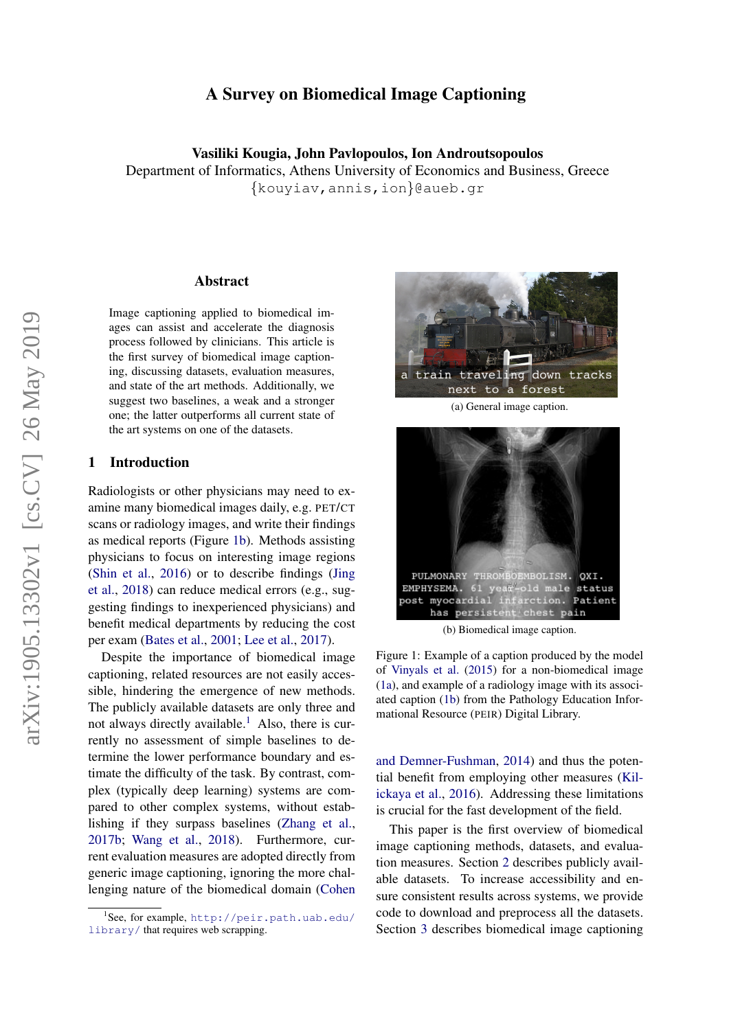# A Survey on Biomedical Image Captioning

Vasiliki Kougia, John Pavlopoulos, Ion Androutsopoulos Department of Informatics, Athens University of Economics and Business, Greece {kouyiav,annis,ion}@aueb.gr

#### Abstract

Image captioning applied to biomedical images can assist and accelerate the diagnosis process followed by clinicians. This article is the first survey of biomedical image captioning, discussing datasets, evaluation measures, and state of the art methods. Additionally, we suggest two baselines, a weak and a stronger one; the latter outperforms all current state of the art systems on one of the datasets.

# 1 Introduction

Radiologists or other physicians may need to examine many biomedical images daily, e.g. PET/CT scans or radiology images, and write their findings as medical reports (Figure [1b\)](#page-0-0). Methods assisting physicians to focus on interesting image regions [\(Shin et al.,](#page-10-0) [2016\)](#page-10-0) or to describe findings [\(Jing](#page-9-0) [et al.,](#page-9-0) [2018\)](#page-9-0) can reduce medical errors (e.g., suggesting findings to inexperienced physicians) and benefit medical departments by reducing the cost per exam [\(Bates et al.,](#page-8-0) [2001;](#page-8-0) [Lee et al.,](#page-9-1) [2017\)](#page-9-1).

Despite the importance of biomedical image captioning, related resources are not easily accessible, hindering the emergence of new methods. The publicly available datasets are only three and not always directly available.<sup>[1](#page-0-1)</sup> Also, there is currently no assessment of simple baselines to determine the lower performance boundary and estimate the difficulty of the task. By contrast, complex (typically deep learning) systems are compared to other complex systems, without establishing if they surpass baselines [\(Zhang et al.,](#page-10-1) [2017b;](#page-10-1) [Wang et al.,](#page-10-2) [2018\)](#page-10-2). Furthermore, current evaluation measures are adopted directly from generic image captioning, ignoring the more challenging nature of the biomedical domain [\(Cohen](#page-8-1)

<span id="page-0-2"></span>

(a) General image caption.



(b) Biomedical image caption.

<span id="page-0-0"></span>Figure 1: Example of a caption produced by the model of [Vinyals et al.](#page-10-3) [\(2015\)](#page-10-3) for a non-biomedical image [\(1a\)](#page-0-2), and example of a radiology image with its associated caption [\(1b\)](#page-0-0) from the Pathology Education Informational Resource (PEIR) Digital Library.

[and Demner-Fushman,](#page-8-1) [2014\)](#page-8-1) and thus the potential benefit from employing other measures [\(Kil](#page-9-2)[ickaya et al.,](#page-9-2) [2016\)](#page-9-2). Addressing these limitations is crucial for the fast development of the field.

This paper is the first overview of biomedical image captioning methods, datasets, and evaluation measures. Section [2](#page-1-0) describes publicly available datasets. To increase accessibility and ensure consistent results across systems, we provide code to download and preprocess all the datasets. Section [3](#page-3-0) describes biomedical image captioning

<span id="page-0-1"></span><sup>1</sup> See, for example, [http://peir.path.uab.edu/](#page-8-1) [library/](http://peir.path.uab.edu/library/) [that requires web scrapping.](#page-8-1)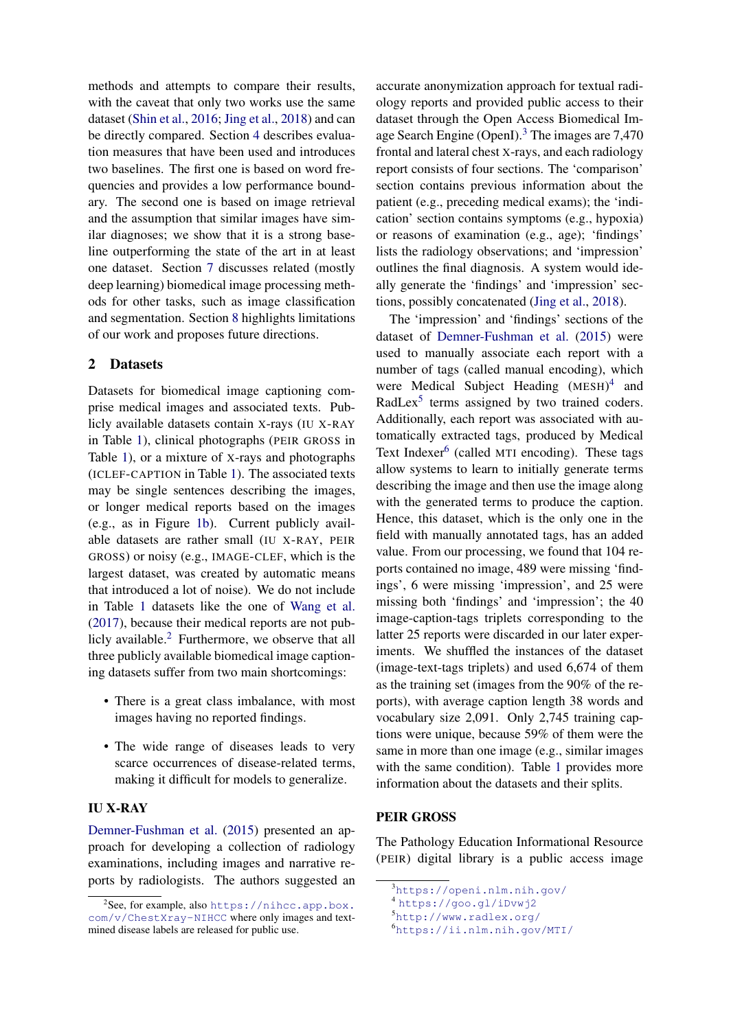methods and attempts to compare their results, with the caveat that only two works use the same dataset [\(Shin et al.,](#page-10-0) [2016;](#page-10-0) [Jing et al.,](#page-9-0) [2018\)](#page-9-0) and can be directly compared. Section [4](#page-5-0) describes evaluation measures that have been used and introduces two baselines. The first one is based on word frequencies and provides a low performance boundary. The second one is based on image retrieval and the assumption that similar images have similar diagnoses; we show that it is a strong baseline outperforming the state of the art in at least one dataset. Section [7](#page-7-0) discusses related (mostly deep learning) biomedical image processing methods for other tasks, such as image classification and segmentation. Section [8](#page-7-1) highlights limitations of our work and proposes future directions.

# <span id="page-1-0"></span>2 Datasets

Datasets for biomedical image captioning comprise medical images and associated texts. Publicly available datasets contain X-rays (IU X-RAY in Table [1\)](#page-2-0), clinical photographs (PEIR GROSS in Table [1\)](#page-2-0), or a mixture of X-rays and photographs (ICLEF-CAPTION in Table [1\)](#page-2-0). The associated texts may be single sentences describing the images, or longer medical reports based on the images (e.g., as in Figure [1b\)](#page-0-0). Current publicly available datasets are rather small (IU X-RAY, PEIR GROSS) or noisy (e.g., IMAGE-CLEF, which is the largest dataset, was created by automatic means that introduced a lot of noise). We do not include in Table [1](#page-2-0) datasets like the one of [Wang et al.](#page-10-4) [\(2017\)](#page-10-4), because their medical reports are not publicly available. $<sup>2</sup>$  $<sup>2</sup>$  $<sup>2</sup>$  Furthermore, we observe that all</sup> three publicly available biomedical image captioning datasets suffer from two main shortcomings:

- There is a great class imbalance, with most images having no reported findings.
- The wide range of diseases leads to very scarce occurrences of disease-related terms, making it difficult for models to generalize.

# IU X-RAY

[Demner-Fushman et al.](#page-8-2) [\(2015\)](#page-8-2) presented an approach for developing a collection of radiology examinations, including images and narrative reports by radiologists. The authors suggested an

accurate anonymization approach for textual radiology reports and provided public access to their dataset through the Open Access Biomedical Im-age Search Engine (OpenI).<sup>[3](#page-1-2)</sup> The images are 7,470 frontal and lateral chest X-rays, and each radiology report consists of four sections. The 'comparison' section contains previous information about the patient (e.g., preceding medical exams); the 'indication' section contains symptoms (e.g., hypoxia) or reasons of examination (e.g., age); 'findings' lists the radiology observations; and 'impression' outlines the final diagnosis. A system would ideally generate the 'findings' and 'impression' sections, possibly concatenated [\(Jing et al.,](#page-9-0) [2018\)](#page-9-0).

The 'impression' and 'findings' sections of the dataset of [Demner-Fushman et al.](#page-8-2) [\(2015\)](#page-8-2) were used to manually associate each report with a number of tags (called manual encoding), which were Medical Subject Heading (MESH) [4](#page-1-3) and RadLex<sup>[5](#page-1-4)</sup> terms assigned by two trained coders. Additionally, each report was associated with automatically extracted tags, produced by Medical Text Indexer<sup>[6](#page-1-5)</sup> (called MTI encoding). These tags allow systems to learn to initially generate terms describing the image and then use the image along with the generated terms to produce the caption. Hence, this dataset, which is the only one in the field with manually annotated tags, has an added value. From our processing, we found that 104 reports contained no image, 489 were missing 'findings', 6 were missing 'impression', and 25 were missing both 'findings' and 'impression'; the 40 image-caption-tags triplets corresponding to the latter 25 reports were discarded in our later experiments. We shuffled the instances of the dataset (image-text-tags triplets) and used 6,674 of them as the training set (images from the 90% of the reports), with average caption length 38 words and vocabulary size 2,091. Only 2,745 training captions were unique, because 59% of them were the same in more than one image (e.g., similar images with the same condition). Table [1](#page-2-0) provides more information about the datasets and their splits.

## PEIR GROSS

The Pathology Education Informational Resource (PEIR) digital library is a public access image

<span id="page-1-4"></span><sup>5</sup><http://www.radlex.org/>

<span id="page-1-1"></span> $2$ See, for example, also [https://nihcc.app.box.](https://nihcc.app.box.com/v/ChestXray-NIHCC) [com/v/ChestXray-NIHCC](https://nihcc.app.box.com/v/ChestXray-NIHCC) where only images and textmined disease labels are released for public use.

<span id="page-1-2"></span><sup>3</sup><https://openi.nlm.nih.gov/>

<span id="page-1-3"></span><sup>4</sup> <https://goo.gl/iDvwj2>

<span id="page-1-5"></span><sup>6</sup><https://ii.nlm.nih.gov/MTI/>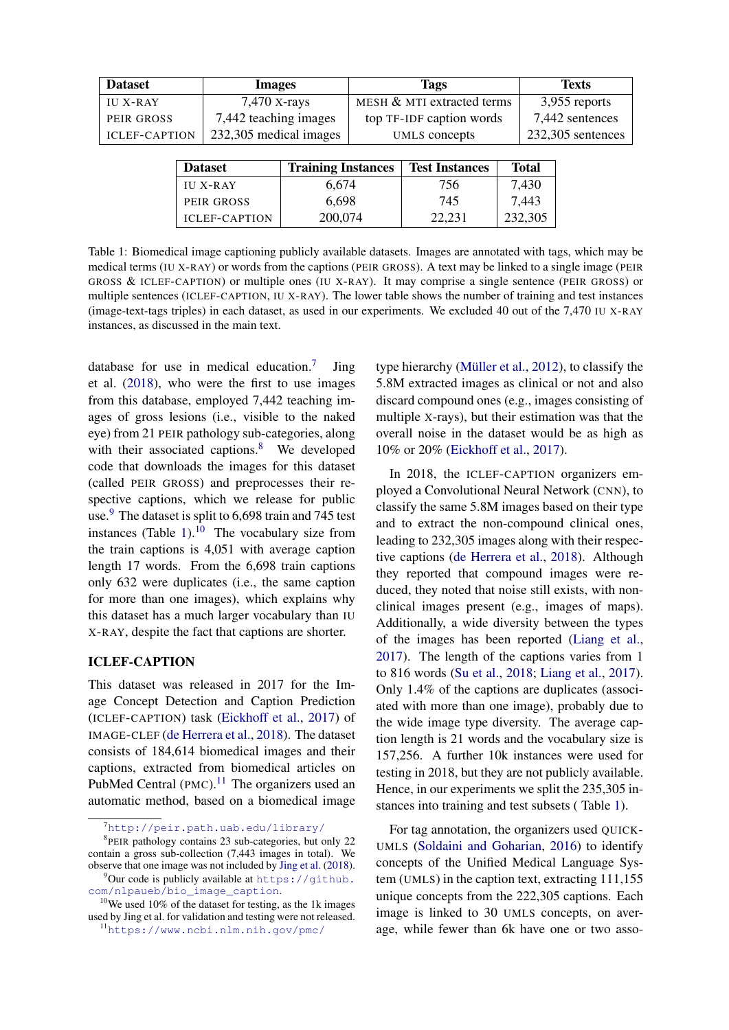<span id="page-2-0"></span>

| <b>Dataset</b>       | Images                 |                    | Tags                       |       | <b>Texts</b>      |  |  |
|----------------------|------------------------|--------------------|----------------------------|-------|-------------------|--|--|
| <b>IU X-RAY</b>      | $7,470$ X-rays         |                    | MESH & MTI extracted terms |       | 3,955 reports     |  |  |
| PEIR GROSS           | 7,442 teaching images  |                    | top TF-IDF caption words   |       | 7,442 sentences   |  |  |
| <b>ICLEF-CAPTION</b> | 232,305 medical images |                    | UMLS concepts              |       | 232,305 sentences |  |  |
|                      |                        |                    |                            |       |                   |  |  |
|                      | Natacat                | Training Instances | Tost Instances             | Total |                   |  |  |

| <b>Dataset</b>       | <b>Training Instances</b> | <b>Test Instances</b> | <b>Total</b> |  |
|----------------------|---------------------------|-----------------------|--------------|--|
| <b>III X-RAY</b>     | 6.674                     | 756.                  | 7,430        |  |
| PEIR GROSS           | 6.698                     | 745                   | 7.443        |  |
| <b>ICLEF-CAPTION</b> | 200,074                   | 22.231                | 232,305      |  |

Table 1: Biomedical image captioning publicly available datasets. Images are annotated with tags, which may be medical terms (IU X-RAY) or words from the captions (PEIR GROSS). A text may be linked to a single image (PEIR GROSS & ICLEF-CAPTION) or multiple ones (IU X-RAY). It may comprise a single sentence (PEIR GROSS) or multiple sentences (ICLEF-CAPTION, IU X-RAY). The lower table shows the number of training and test instances (image-text-tags triples) in each dataset, as used in our experiments. We excluded 40 out of the 7,470 IU X-RAY instances, as discussed in the main text.

database for use in medical education.<sup>[7](#page-2-1)</sup> Jing et al. [\(2018\)](#page-9-0), who were the first to use images from this database, employed 7,442 teaching images of gross lesions (i.e., visible to the naked eye) from 21 PEIR pathology sub-categories, along with their associated captions.<sup>[8](#page-2-2)</sup> We developed code that downloads the images for this dataset (called PEIR GROSS) and preprocesses their respective captions, which we release for public use.<sup>[9](#page-2-3)</sup> The dataset is split to  $6,698$  train and 745 test instances (Table [1\)](#page-2-0). $^{10}$  $^{10}$  $^{10}$  The vocabulary size from the train captions is 4,051 with average caption length 17 words. From the 6,698 train captions only 632 were duplicates (i.e., the same caption for more than one images), which explains why this dataset has a much larger vocabulary than IU X-RAY, despite the fact that captions are shorter.

#### ICLEF-CAPTION

This dataset was released in 2017 for the Image Concept Detection and Caption Prediction (ICLEF-CAPTION) task [\(Eickhoff et al.,](#page-8-3) [2017\)](#page-8-3) of IMAGE-CLEF [\(de Herrera et al.,](#page-9-3) [2018\)](#page-9-3). The dataset consists of 184,614 biomedical images and their captions, extracted from biomedical articles on PubMed Central  $(PMC)$ .<sup>[11](#page-2-5)</sup> The organizers used an automatic method, based on a biomedical image type hierarchy (Müller et al.,  $2012$ ), to classify the 5.8M extracted images as clinical or not and also discard compound ones (e.g., images consisting of multiple X-rays), but their estimation was that the overall noise in the dataset would be as high as 10% or 20% [\(Eickhoff et al.,](#page-8-3) [2017\)](#page-8-3).

In 2018, the ICLEF-CAPTION organizers employed a Convolutional Neural Network (CNN), to classify the same 5.8M images based on their type and to extract the non-compound clinical ones, leading to 232,305 images along with their respective captions [\(de Herrera et al.,](#page-9-3) [2018\)](#page-9-3). Although they reported that compound images were reduced, they noted that noise still exists, with nonclinical images present (e.g., images of maps). Additionally, a wide diversity between the types of the images has been reported [\(Liang et al.,](#page-9-5) [2017\)](#page-9-5). The length of the captions varies from 1 to 816 words [\(Su et al.,](#page-10-5) [2018;](#page-10-5) [Liang et al.,](#page-9-5) [2017\)](#page-9-5). Only 1.4% of the captions are duplicates (associated with more than one image), probably due to the wide image type diversity. The average caption length is 21 words and the vocabulary size is 157,256. A further 10k instances were used for testing in 2018, but they are not publicly available. Hence, in our experiments we split the 235,305 instances into training and test subsets ( Table [1\)](#page-2-0).

For tag annotation, the organizers used QUICK-UMLS [\(Soldaini and Goharian,](#page-10-6) [2016\)](#page-10-6) to identify concepts of the Unified Medical Language System (UMLS) in the caption text, extracting 111,155 unique concepts from the 222,305 captions. Each image is linked to 30 UMLS concepts, on average, while fewer than 6k have one or two asso-

<span id="page-2-2"></span><span id="page-2-1"></span> $7$ <http://peir.path.uab.edu/library/>

<sup>8</sup> PEIR pathology contains 23 sub-categories, but only 22 contain a gross sub-collection (7,443 images in total). We observe that one image was not included by [Jing et al.](#page-9-0) [\(2018\)](#page-9-0).

<span id="page-2-3"></span> $^{9}$ Our code is publicly available at [https://github.](https://github.com/nlpaueb/bio_image_caption) [com/nlpaueb/bio\\_image\\_caption](https://github.com/nlpaueb/bio_image_caption).

<span id="page-2-4"></span> $10$ <sup>10</sup>We used 10% of the dataset for testing, as the 1k images used by Jing et al. for validation and testing were not released.

<span id="page-2-5"></span><sup>11</sup><https://www.ncbi.nlm.nih.gov/pmc/>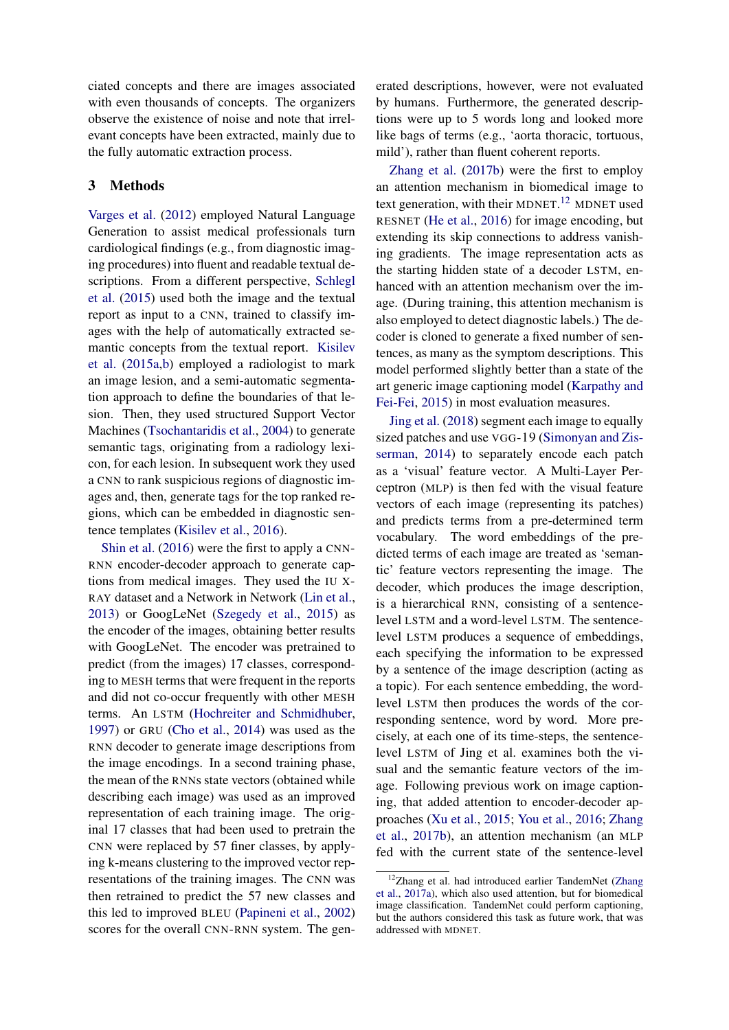ciated concepts and there are images associated with even thousands of concepts. The organizers observe the existence of noise and note that irrelevant concepts have been extracted, mainly due to the fully automatic extraction process.

# <span id="page-3-0"></span>3 Methods

[Varges et al.](#page-10-7) [\(2012\)](#page-10-7) employed Natural Language Generation to assist medical professionals turn cardiological findings (e.g., from diagnostic imaging procedures) into fluent and readable textual descriptions. From a different perspective, [Schlegl](#page-10-8) [et al.](#page-10-8) [\(2015\)](#page-10-8) used both the image and the textual report as input to a CNN, trained to classify images with the help of automatically extracted semantic concepts from the textual report. [Kisilev](#page-9-6) [et al.](#page-9-6) [\(2015a,](#page-9-6)[b\)](#page-9-7) employed a radiologist to mark an image lesion, and a semi-automatic segmentation approach to define the boundaries of that lesion. Then, they used structured Support Vector Machines [\(Tsochantaridis et al.,](#page-10-9) [2004\)](#page-10-9) to generate semantic tags, originating from a radiology lexicon, for each lesion. In subsequent work they used a CNN to rank suspicious regions of diagnostic images and, then, generate tags for the top ranked regions, which can be embedded in diagnostic sentence templates [\(Kisilev et al.,](#page-9-8) [2016\)](#page-9-8).

[Shin et al.](#page-10-0) [\(2016\)](#page-10-0) were the first to apply a CNN-RNN encoder-decoder approach to generate captions from medical images. They used the IU X-RAY dataset and a Network in Network [\(Lin et al.,](#page-9-9) [2013\)](#page-9-9) or GoogLeNet [\(Szegedy et al.,](#page-10-10) [2015\)](#page-10-10) as the encoder of the images, obtaining better results with GoogLeNet. The encoder was pretrained to predict (from the images) 17 classes, corresponding to MESH terms that were frequent in the reports and did not co-occur frequently with other MESH terms. An LSTM [\(Hochreiter and Schmidhuber,](#page-9-10) [1997\)](#page-9-10) or GRU [\(Cho et al.,](#page-8-4) [2014\)](#page-8-4) was used as the RNN decoder to generate image descriptions from the image encodings. In a second training phase, the mean of the RNNs state vectors (obtained while describing each image) was used as an improved representation of each training image. The original 17 classes that had been used to pretrain the CNN were replaced by 57 finer classes, by applying k-means clustering to the improved vector representations of the training images. The CNN was then retrained to predict the 57 new classes and this led to improved BLEU [\(Papineni et al.,](#page-9-11) [2002\)](#page-9-11) scores for the overall CNN-RNN system. The gen-

erated descriptions, however, were not evaluated by humans. Furthermore, the generated descriptions were up to 5 words long and looked more like bags of terms (e.g., 'aorta thoracic, tortuous, mild'), rather than fluent coherent reports.

[Zhang et al.](#page-10-1) [\(2017b\)](#page-10-1) were the first to employ an attention mechanism in biomedical image to text generation, with their MDNET.<sup>[12](#page-3-1)</sup> MDNET used RESNET [\(He et al.,](#page-9-12) [2016\)](#page-9-12) for image encoding, but extending its skip connections to address vanishing gradients. The image representation acts as the starting hidden state of a decoder LSTM, enhanced with an attention mechanism over the image. (During training, this attention mechanism is also employed to detect diagnostic labels.) The decoder is cloned to generate a fixed number of sentences, as many as the symptom descriptions. This model performed slightly better than a state of the art generic image captioning model [\(Karpathy and](#page-9-13) [Fei-Fei,](#page-9-13) [2015\)](#page-9-13) in most evaluation measures.

[Jing et al.](#page-9-0) [\(2018\)](#page-9-0) segment each image to equally sized patches and use VGG-19 [\(Simonyan and Zis](#page-10-11)[serman,](#page-10-11) [2014\)](#page-10-11) to separately encode each patch as a 'visual' feature vector. A Multi-Layer Perceptron (MLP) is then fed with the visual feature vectors of each image (representing its patches) and predicts terms from a pre-determined term vocabulary. The word embeddings of the predicted terms of each image are treated as 'semantic' feature vectors representing the image. The decoder, which produces the image description, is a hierarchical RNN, consisting of a sentencelevel LSTM and a word-level LSTM. The sentencelevel LSTM produces a sequence of embeddings, each specifying the information to be expressed by a sentence of the image description (acting as a topic). For each sentence embedding, the wordlevel LSTM then produces the words of the corresponding sentence, word by word. More precisely, at each one of its time-steps, the sentencelevel LSTM of Jing et al. examines both the visual and the semantic feature vectors of the image. Following previous work on image captioning, that added attention to encoder-decoder approaches [\(Xu et al.,](#page-10-12) [2015;](#page-10-12) [You et al.,](#page-10-13) [2016;](#page-10-13) [Zhang](#page-10-1) [et al.,](#page-10-1) [2017b\)](#page-10-1), an attention mechanism (an MLP fed with the current state of the sentence-level

<span id="page-3-1"></span><sup>&</sup>lt;sup>12</sup>Zhang et al. had introduced earlier TandemNet [\(Zhang](#page-10-14) [et al.,](#page-10-14) [2017a\)](#page-10-14), which also used attention, but for biomedical image classification. TandemNet could perform captioning, but the authors considered this task as future work, that was addressed with MDNET.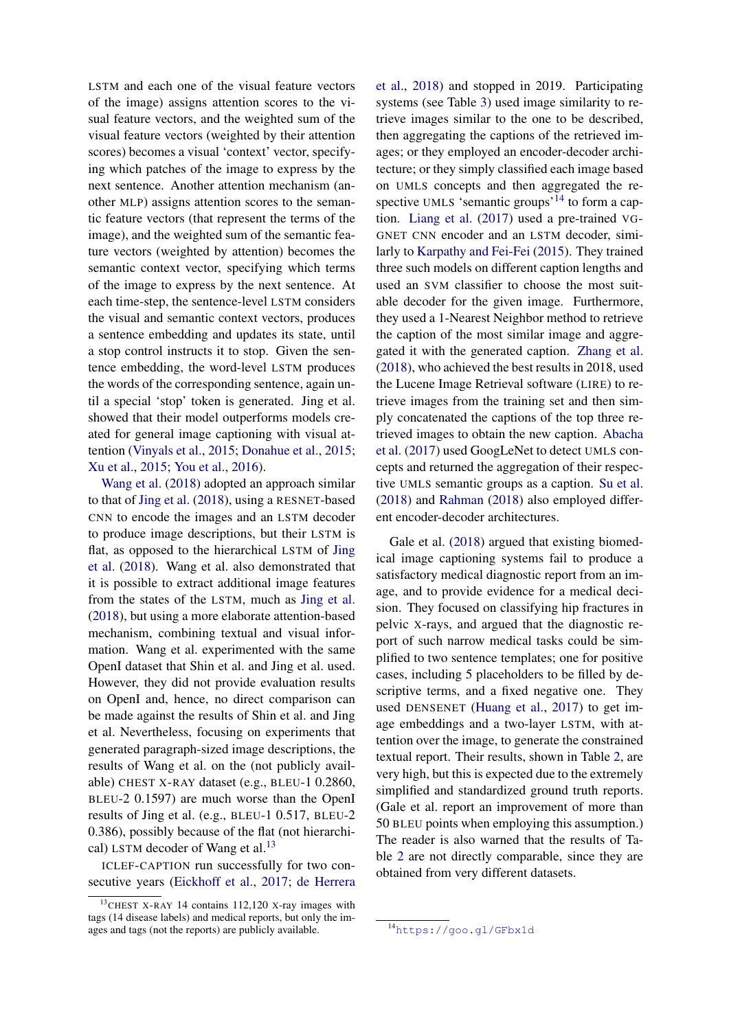LSTM and each one of the visual feature vectors of the image) assigns attention scores to the visual feature vectors, and the weighted sum of the visual feature vectors (weighted by their attention scores) becomes a visual 'context' vector, specifying which patches of the image to express by the next sentence. Another attention mechanism (another MLP) assigns attention scores to the semantic feature vectors (that represent the terms of the image), and the weighted sum of the semantic feature vectors (weighted by attention) becomes the semantic context vector, specifying which terms of the image to express by the next sentence. At each time-step, the sentence-level LSTM considers the visual and semantic context vectors, produces a sentence embedding and updates its state, until a stop control instructs it to stop. Given the sentence embedding, the word-level LSTM produces the words of the corresponding sentence, again until a special 'stop' token is generated. Jing et al. showed that their model outperforms models created for general image captioning with visual attention [\(Vinyals et al.,](#page-10-3) [2015;](#page-10-3) [Donahue et al.,](#page-8-5) [2015;](#page-8-5) [Xu et al.,](#page-10-12) [2015;](#page-10-12) [You et al.,](#page-10-13) [2016\)](#page-10-13).

[Wang et al.](#page-10-2) [\(2018\)](#page-10-2) adopted an approach similar to that of [Jing et al.](#page-9-0) [\(2018\)](#page-9-0), using a RESNET-based CNN to encode the images and an LSTM decoder to produce image descriptions, but their LSTM is flat, as opposed to the hierarchical LSTM of [Jing](#page-9-0) [et al.](#page-9-0) [\(2018\)](#page-9-0). Wang et al. also demonstrated that it is possible to extract additional image features from the states of the LSTM, much as [Jing et al.](#page-9-0) [\(2018\)](#page-9-0), but using a more elaborate attention-based mechanism, combining textual and visual information. Wang et al. experimented with the same OpenI dataset that Shin et al. and Jing et al. used. However, they did not provide evaluation results on OpenI and, hence, no direct comparison can be made against the results of Shin et al. and Jing et al. Nevertheless, focusing on experiments that generated paragraph-sized image descriptions, the results of Wang et al. on the (not publicly available) CHEST X-RAY dataset (e.g., BLEU-1 0.2860, BLEU-2 0.1597) are much worse than the OpenI results of Jing et al. (e.g., BLEU-1 0.517, BLEU-2 0.386), possibly because of the flat (not hierarchi-cal) LSTM decoder of Wang et al.<sup>[13](#page-4-0)</sup>

ICLEF-CAPTION run successfully for two consecutive years [\(Eickhoff et al.,](#page-8-3) [2017;](#page-8-3) [de Herrera](#page-9-3) [et al.,](#page-9-3) [2018\)](#page-9-3) and stopped in 2019. Participating systems (see Table [3\)](#page-5-1) used image similarity to retrieve images similar to the one to be described, then aggregating the captions of the retrieved images; or they employed an encoder-decoder architecture; or they simply classified each image based on UMLS concepts and then aggregated the re-spective UMLS 'semantic groups'<sup>[14](#page-4-1)</sup> to form a caption. [Liang et al.](#page-9-5) [\(2017\)](#page-9-5) used a pre-trained VG-GNET CNN encoder and an LSTM decoder, similarly to [Karpathy and Fei-Fei](#page-9-13) [\(2015\)](#page-9-13). They trained three such models on different caption lengths and used an SVM classifier to choose the most suitable decoder for the given image. Furthermore, they used a 1-Nearest Neighbor method to retrieve the caption of the most similar image and aggregated it with the generated caption. [Zhang et al.](#page-10-15) [\(2018\)](#page-10-15), who achieved the best results in 2018, used the Lucene Image Retrieval software (LIRE) to retrieve images from the training set and then simply concatenated the captions of the top three retrieved images to obtain the new caption. [Abacha](#page-8-6) [et al.](#page-8-6) [\(2017\)](#page-8-6) used GoogLeNet to detect UMLS concepts and returned the aggregation of their respective UMLS semantic groups as a caption. [Su et al.](#page-10-5) [\(2018\)](#page-10-5) and [Rahman](#page-10-16) [\(2018\)](#page-10-16) also employed different encoder-decoder architectures.

Gale et al. [\(2018\)](#page-8-7) argued that existing biomedical image captioning systems fail to produce a satisfactory medical diagnostic report from an image, and to provide evidence for a medical decision. They focused on classifying hip fractures in pelvic X-rays, and argued that the diagnostic report of such narrow medical tasks could be simplified to two sentence templates; one for positive cases, including 5 placeholders to be filled by descriptive terms, and a fixed negative one. They used DENSENET [\(Huang et al.,](#page-9-14) [2017\)](#page-9-14) to get image embeddings and a two-layer LSTM, with attention over the image, to generate the constrained textual report. Their results, shown in Table [2,](#page-5-2) are very high, but this is expected due to the extremely simplified and standardized ground truth reports. (Gale et al. report an improvement of more than 50 BLEU points when employing this assumption.) The reader is also warned that the results of Table [2](#page-5-2) are not directly comparable, since they are obtained from very different datasets.

<span id="page-4-0"></span> $13$ CHEST X-RAY [14 contains 112,120](#page-9-3) X-ray images with [tags \(14 disease labels\) and medical reports, but only the im](#page-9-3)[ages and tags \(not the reports\) are publicly available.](#page-9-3)

<span id="page-4-1"></span><sup>14</sup><https://goo.gl/GFbx1d>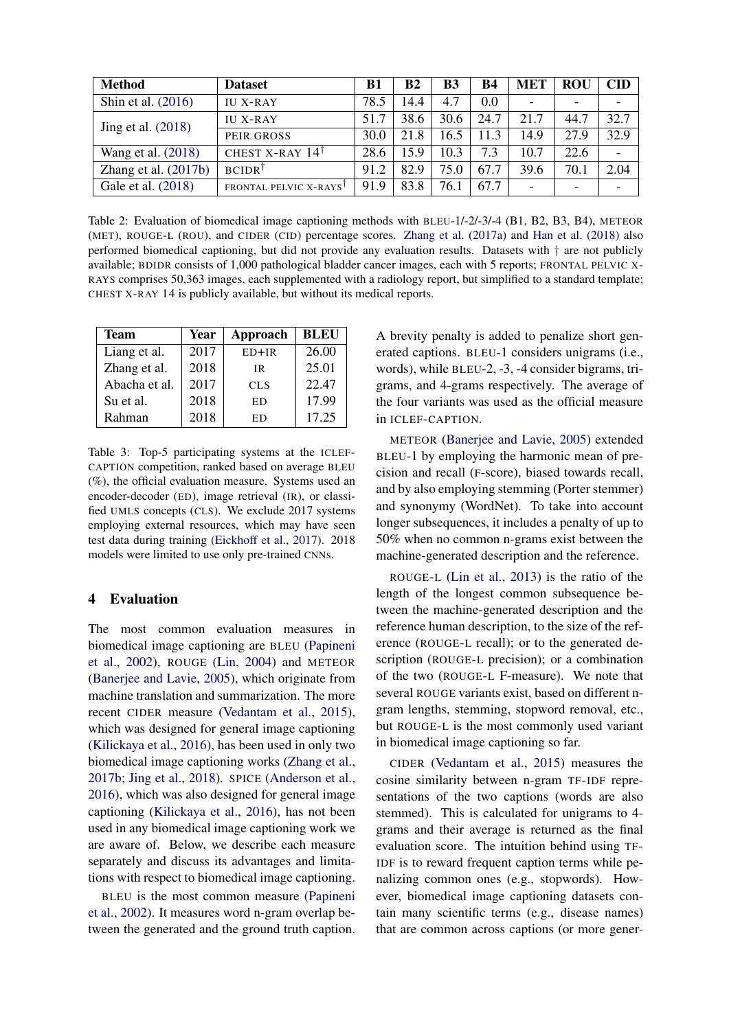<span id="page-5-2"></span>

| <b>Method</b>          | <b>Dataset</b>               | <b>B1</b> | B <sub>2</sub> | <b>B3</b> | <b>B4</b> | <b>MET</b>               | <b>ROU</b>               | <b>CID</b> |
|------------------------|------------------------------|-----------|----------------|-----------|-----------|--------------------------|--------------------------|------------|
| Shin et al. $(2016)$   | <b>IU X-RAY</b>              | 78.5      | 14.4           | 4.7       | 0.0       | $\overline{\phantom{0}}$ | $\overline{\phantom{a}}$ |            |
| Jing et al. $(2018)$   | <b>IU X-RAY</b>              | 51.7      | 38.6           | 30.6      | 24.7      | 21.7                     | 44.7                     | 32.7       |
|                        | PEIR GROSS                   | 30.0      | 21.8           | 16.5      | 11.3      | 14.9                     | 27.9                     | 32.9       |
| Wang et al. (2018)     | CHEST X-RAY $14^{\dagger}$   | 28.6      | 15.9           | 10.3      | 7.3       | 10.7                     | 22.6                     |            |
| Zhang et al. $(2017b)$ | $BCIDR^{\dagger}$            | 91.2      | 82.9           | 75.0      | 67.7      | 39.6                     | 70.1                     | 2.04       |
| Gale et al. (2018)     | <b>FRONTAL PELVIC X-RAYS</b> | 91.9      | 83.8           | 76.1      | 67.7      | $\overline{\phantom{0}}$ | $\overline{\phantom{0}}$ |            |

Table 2: Evaluation of biomedical image captioning methods with BLEU-1/-2/-3/-4 (B1, B2, B3, B4), METEOR (MET), ROUGE-L (ROU), and CIDER (CID) percentage scores. [Zhang et al.](#page-10-14) [\(2017a\)](#page-10-14) and [Han et al.](#page-9-15) [\(2018\)](#page-9-15) also performed biomedical captioning, but did not provide any evaluation results. Datasets with † are not publicly available; BDIDR consists of 1,000 pathological bladder cancer images, each with 5 reports; FRONTAL PELVIC X-RAYS comprises 50,363 images, each supplemented with a radiology report, but simplified to a standard template; CHEST X-RAY 14 is publicly available, but without its medical reports.

<span id="page-5-1"></span>

| <b>Team</b>   | Year | Approach   | <b>BLEU</b> |  |  |
|---------------|------|------------|-------------|--|--|
| Liang et al.  | 2017 | $ED+IR$    | 26.00       |  |  |
| Zhang et al.  | 2018 | ΙR         | 25.01       |  |  |
| Abacha et al. | 2017 | <b>CLS</b> | 22.47       |  |  |
| Su et al.     | 2018 | ED         | 17.99       |  |  |
| Rahman        | 2018 | ED         | 17.25       |  |  |

Table 3: Top-5 participating systems at the ICLEF-CAPTION competition, ranked based on average BLEU (%), the official evaluation measure. Systems used an encoder-decoder (ED), image retrieval (IR), or classified UMLS concepts (CLS). We exclude 2017 systems employing external resources, which may have seen test data during training [\(Eickhoff et al.,](#page-8-3) [2017\)](#page-8-3). 2018 models were limited to use only pre-trained CNNs.

# <span id="page-5-0"></span>4 Evaluation

The most common evaluation measures in biomedical image captioning are BLEU [\(Papineni](#page-9-11) [et al.,](#page-9-11) [2002\)](#page-9-11), ROUGE [\(Lin,](#page-9-16) [2004\)](#page-9-16) and METEOR [\(Banerjee and Lavie,](#page-8-8) [2005\)](#page-8-8), which originate from machine translation and summarization. The more recent CIDER measure [\(Vedantam et al.,](#page-10-17) [2015\)](#page-10-17), which was designed for general image captioning [\(Kilickaya et al.,](#page-9-2) [2016\)](#page-9-2), has been used in only two biomedical image captioning works [\(Zhang et al.,](#page-10-1) [2017b;](#page-10-1) [Jing et al.,](#page-9-0) [2018\)](#page-9-0). SPICE [\(Anderson et al.,](#page-8-9) [2016\)](#page-8-9), which was also designed for general image captioning [\(Kilickaya et al.,](#page-9-2) [2016\)](#page-9-2), has not been used in any biomedical image captioning work we are aware of. Below, we describe each measure separately and discuss its advantages and limitations with respect to biomedical image captioning.

BLEU is the most common measure [\(Papineni](#page-9-11) [et al.,](#page-9-11) [2002\)](#page-9-11). It measures word n-gram overlap between the generated and the ground truth caption.

A brevity penalty is added to penalize short generated captions. BLEU-1 considers unigrams (i.e., words), while BLEU-2, -3, -4 consider bigrams, trigrams, and 4-grams respectively. The average of the four variants was used as the official measure in ICLEF-CAPTION.

METEOR [\(Banerjee and Lavie,](#page-8-8) [2005\)](#page-8-8) extended BLEU-1 by employing the harmonic mean of precision and recall (F-score), biased towards recall, and by also employing stemming (Porter stemmer) and synonymy (WordNet). To take into account longer subsequences, it includes a penalty of up to 50% when no common n-grams exist between the machine-generated description and the reference.

ROUGE-L [\(Lin et al.,](#page-9-9) [2013\)](#page-9-9) is the ratio of the length of the longest common subsequence between the machine-generated description and the reference human description, to the size of the reference (ROUGE-L recall); or to the generated description (ROUGE-L precision); or a combination of the two (ROUGE-L F-measure). We note that several ROUGE variants exist, based on different ngram lengths, stemming, stopword removal, etc., but ROUGE-L is the most commonly used variant in biomedical image captioning so far.

CIDER [\(Vedantam et al.,](#page-10-17) [2015\)](#page-10-17) measures the cosine similarity between n-gram TF-IDF representations of the two captions (words are also stemmed). This is calculated for unigrams to 4 grams and their average is returned as the final evaluation score. The intuition behind using TF-IDF is to reward frequent caption terms while penalizing common ones (e.g., stopwords). However, biomedical image captioning datasets contain many scientific terms (e.g., disease names) that are common across captions (or more gener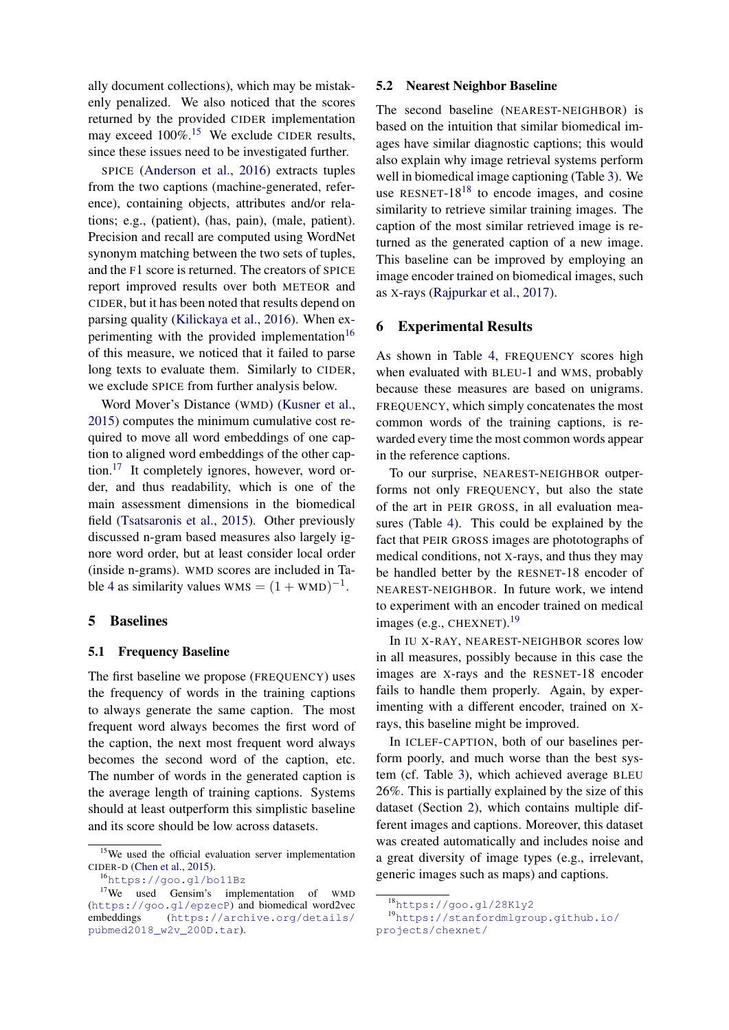ally document collections), which may be mistakenly penalized. We also noticed that the scores returned by the provided CIDER implementation may exceed 100%.<sup>[15](#page-6-0)</sup> We exclude CIDER results, since these issues need to be investigated further.

SPICE [\(Anderson et al.,](#page-8-9) [2016\)](#page-8-9) extracts tuples from the two captions (machine-generated, reference), containing objects, attributes and/or relations; e.g., (patient), (has, pain), (male, patient). Precision and recall are computed using WordNet synonym matching between the two sets of tuples, and the F1 score is returned. The creators of SPICE report improved results over both METEOR and CIDER, but it has been noted that results depend on parsing quality [\(Kilickaya et al.,](#page-9-2) [2016\)](#page-9-2). When ex-perimenting with the provided implementation<sup>[16](#page-6-1)</sup> of this measure, we noticed that it failed to parse long texts to evaluate them. Similarly to CIDER, we exclude SPICE from further analysis below.

Word Mover's Distance (WMD) [\(Kusner et al.,](#page-9-17) [2015\)](#page-9-17) computes the minimum cumulative cost required to move all word embeddings of one caption to aligned word embeddings of the other cap-tion.<sup>[17](#page-6-2)</sup> It completely ignores, however, word order, and thus readability, which is one of the main assessment dimensions in the biomedical field [\(Tsatsaronis et al.,](#page-10-18) [2015\)](#page-10-18). Other previously discussed n-gram based measures also largely ignore word order, but at least consider local order (inside n-grams). WMD scores are included in Ta-ble [4](#page-7-2) as similarity values  $WMS = (1 + WMD)^{-1}$ .

#### 5 Baselines

#### 5.1 Frequency Baseline

The first baseline we propose (FREQUENCY) uses the frequency of words in the training captions to always generate the same caption. The most frequent word always becomes the first word of the caption, the next most frequent word always becomes the second word of the caption, etc. The number of words in the generated caption is the average length of training captions. Systems should at least outperform this simplistic baseline and its score should be low across datasets.

<span id="page-6-2"></span><span id="page-6-1"></span><sup>16</sup><https://goo.gl/bo11Bz>

#### 5.2 Nearest Neighbor Baseline

The second baseline (NEAREST-NEIGHBOR) is based on the intuition that similar biomedical images have similar diagnostic captions; this would also explain why image retrieval systems perform well in biomedical image captioning (Table [3\)](#page-5-1). We use RESNET- $18^{18}$  $18^{18}$  to encode images, and cosine similarity to retrieve similar training images. The caption of the most similar retrieved image is returned as the generated caption of a new image. This baseline can be improved by employing an image encoder trained on biomedical images, such as X-rays [\(Rajpurkar et al.,](#page-10-19) [2017\)](#page-10-19).

### 6 Experimental Results

As shown in Table [4,](#page-7-2) FREQUENCY scores high when evaluated with BLEU-1 and WMS, probably because these measures are based on unigrams. FREQUENCY, which simply concatenates the most common words of the training captions, is rewarded every time the most common words appear in the reference captions.

To our surprise, NEAREST-NEIGHBOR outperforms not only FREQUENCY, but also the state of the art in PEIR GROSS, in all evaluation measures (Table [4\)](#page-7-2). This could be explained by the fact that PEIR GROSS images are phototographs of medical conditions, not X-rays, and thus they may be handled better by the RESNET-18 encoder of NEAREST-NEIGHBOR. In future work, we intend to experiment with an encoder trained on medical images (e.g., CHEXNET). $^{19}$  $^{19}$  $^{19}$ 

In IU X-RAY, NEAREST-NEIGHBOR scores low in all measures, possibly because in this case the images are X-rays and the RESNET-18 encoder fails to handle them properly. Again, by experimenting with a different encoder, trained on Xrays, this baseline might be improved.

In ICLEF-CAPTION, both of our baselines perform poorly, and much worse than the best system (cf. Table [3\)](#page-5-1), which achieved average BLEU 26%. This is partially explained by the size of this dataset (Section [2\)](#page-1-0), which contains multiple different images and captions. Moreover, this dataset was created automatically and includes noise and a great diversity of image types (e.g., irrelevant, generic images such as maps) and captions.

<span id="page-6-0"></span><sup>&</sup>lt;sup>15</sup>We used the official evaluation server implementation CIDER-D [\(Chen et al.,](#page-8-10) [2015\)](#page-8-10).

<sup>17</sup>We used Gensim's implementation of WMD (<https://goo.gl/epzecP>) and biomedical word2vec embeddings ([https://archive.org/details/](https://archive.org/details/pubmed2018_w2v_200D.tar) [pubmed2018\\_w2v\\_200D.tar](https://archive.org/details/pubmed2018_w2v_200D.tar)).

<span id="page-6-4"></span><span id="page-6-3"></span><sup>18</sup><https://goo.gl/28K1y2>

<sup>19</sup>[https://stanfordmlgroup.github.io/](https://stanfordmlgroup.github.io/projects/chexnet/) [projects/chexnet/](https://stanfordmlgroup.github.io/projects/chexnet/)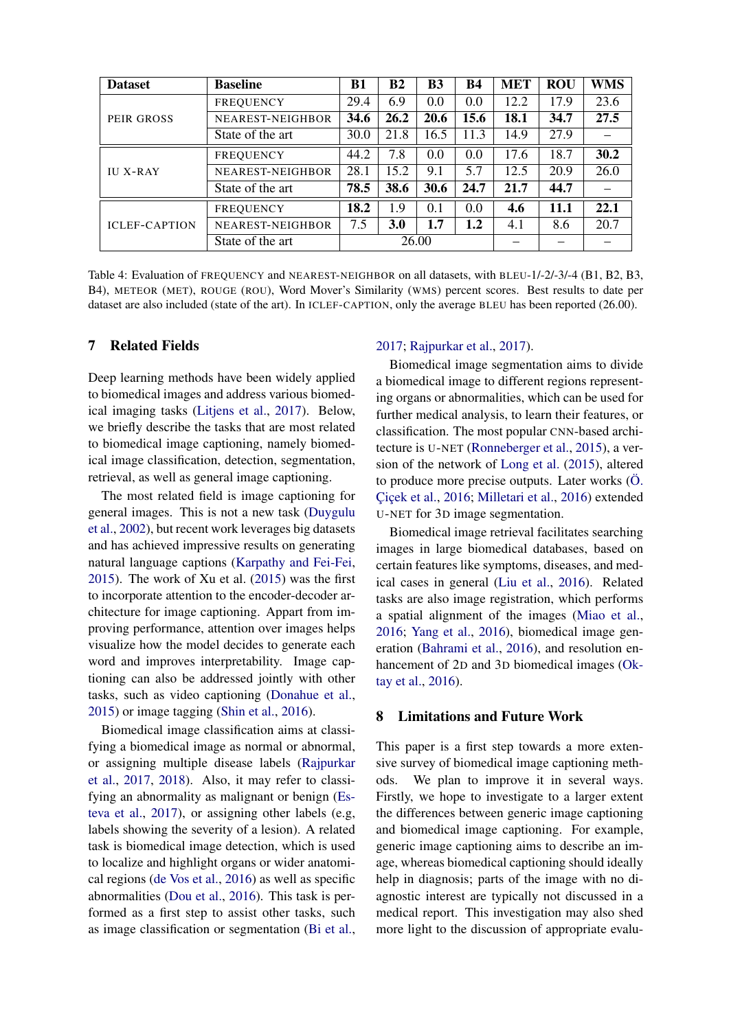<span id="page-7-2"></span>

| <b>Dataset</b>       | <b>Baseline</b>         | <b>B1</b> | <b>B2</b>  | <b>B3</b> | B4      | <b>MET</b> | <b>ROU</b> | WMS  |
|----------------------|-------------------------|-----------|------------|-----------|---------|------------|------------|------|
| PEIR GROSS           | <b>FREQUENCY</b>        | 29.4      | 6.9        | 0.0       | 0.0     | 12.2       | 17.9       | 23.6 |
|                      | <b>NEAREST-NEIGHBOR</b> | 34.6      | 26.2       | 20.6      | 15.6    | 18.1       | 34.7       | 27.5 |
|                      | State of the art        | 30.0      | 21.8       | 16.5      | 11.3    | 14.9       | 27.9       |      |
| <b>IU X-RAY</b>      | <b>FREOUENCY</b>        | 44.2      | 7.8        | 0.0       | 0.0     | 17.6       | 18.7       | 30.2 |
|                      | NEAREST-NEIGHBOR        | 28.1      | 15.2       | 9.1       | 5.7     | 12.5       | 20.9       | 26.0 |
|                      | State of the art        | 78.5      | 38.6       | 30.6      | 24.7    | 21.7       | 44.7       |      |
| <b>ICLEF-CAPTION</b> | <b>FREOUENCY</b>        | 18.2      | 1.9        | 0.1       | 0.0     | 4.6        | 11.1       | 22.1 |
|                      | NEAREST-NEIGHBOR        | 7.5       | <b>3.0</b> | 1.7       | $1.2\,$ | 4.1        | 8.6        | 20.7 |
|                      | State of the art        | 26.00     |            |           |         |            |            |      |

Table 4: Evaluation of FREQUENCY and NEAREST-NEIGHBOR on all datasets, with BLEU-1/-2/-3/-4 (B1, B2, B3, B4), METEOR (MET), ROUGE (ROU), Word Mover's Similarity (WMS) percent scores. Best results to date per dataset are also included (state of the art). In ICLEF-CAPTION, only the average BLEU has been reported (26.00).

## <span id="page-7-0"></span>7 Related Fields

Deep learning methods have been widely applied to biomedical images and address various biomedical imaging tasks [\(Litjens et al.,](#page-9-18) [2017\)](#page-9-18). Below, we briefly describe the tasks that are most related to biomedical image captioning, namely biomedical image classification, detection, segmentation, retrieval, as well as general image captioning.

The most related field is image captioning for general images. This is not a new task [\(Duygulu](#page-8-11) [et al.,](#page-8-11) [2002\)](#page-8-11), but recent work leverages big datasets and has achieved impressive results on generating natural language captions [\(Karpathy and Fei-Fei,](#page-9-13) [2015\)](#page-9-13). The work of Xu et al. [\(2015\)](#page-10-12) was the first to incorporate attention to the encoder-decoder architecture for image captioning. Appart from improving performance, attention over images helps visualize how the model decides to generate each word and improves interpretability. Image captioning can also be addressed jointly with other tasks, such as video captioning [\(Donahue et al.,](#page-8-5) [2015\)](#page-8-5) or image tagging [\(Shin et al.,](#page-10-0) [2016\)](#page-10-0).

Biomedical image classification aims at classifying a biomedical image as normal or abnormal, or assigning multiple disease labels [\(Rajpurkar](#page-10-19) [et al.,](#page-10-19) [2017,](#page-10-19) [2018\)](#page-10-20). Also, it may refer to classifying an abnormality as malignant or benign [\(Es](#page-8-12)[teva et al.,](#page-8-12) [2017\)](#page-8-12), or assigning other labels (e.g, labels showing the severity of a lesion). A related task is biomedical image detection, which is used to localize and highlight organs or wider anatomical regions [\(de Vos et al.,](#page-10-21) [2016\)](#page-10-21) as well as specific abnormalities [\(Dou et al.,](#page-8-13) [2016\)](#page-8-13). This task is performed as a first step to assist other tasks, such as image classification or segmentation [\(Bi et al.,](#page-8-14)

#### [2017;](#page-8-14) [Rajpurkar et al.,](#page-10-19) [2017\)](#page-10-19).

Biomedical image segmentation aims to divide a biomedical image to different regions representing organs or abnormalities, which can be used for further medical analysis, to learn their features, or classification. The most popular CNN-based architecture is U-NET [\(Ronneberger et al.,](#page-10-22) [2015\)](#page-10-22), a version of the network of [Long et al.](#page-9-19) [\(2015\)](#page-9-19), altered to produce more precise outputs. Later works  $\ddot{\text{O}}$ . Çiçek et al., [2016;](#page-9-20) [Milletari et al.,](#page-9-21) [2016\)](#page-9-21) extended U-NET for 3D image segmentation.

Biomedical image retrieval facilitates searching images in large biomedical databases, based on certain features like symptoms, diseases, and medical cases in general [\(Liu et al.,](#page-9-22) [2016\)](#page-9-22). Related tasks are also image registration, which performs a spatial alignment of the images [\(Miao et al.,](#page-9-23) [2016;](#page-9-23) [Yang et al.,](#page-10-23) [2016\)](#page-10-23), biomedical image generation [\(Bahrami et al.,](#page-8-15) [2016\)](#page-8-15), and resolution enhancement of 2D and 3D biomedical images [\(Ok](#page-9-24)[tay et al.,](#page-9-24) [2016\)](#page-9-24).

### <span id="page-7-1"></span>8 Limitations and Future Work

This paper is a first step towards a more extensive survey of biomedical image captioning methods. We plan to improve it in several ways. Firstly, we hope to investigate to a larger extent the differences between generic image captioning and biomedical image captioning. For example, generic image captioning aims to describe an image, whereas biomedical captioning should ideally help in diagnosis; parts of the image with no diagnostic interest are typically not discussed in a medical report. This investigation may also shed more light to the discussion of appropriate evalu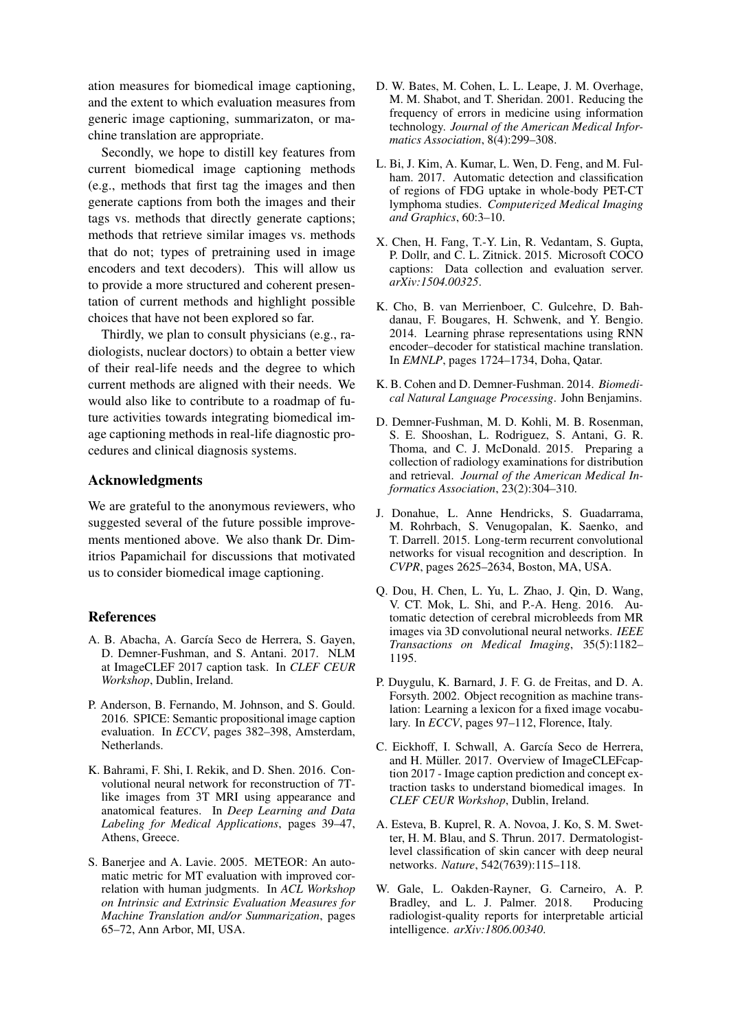ation measures for biomedical image captioning, and the extent to which evaluation measures from generic image captioning, summarizaton, or machine translation are appropriate.

Secondly, we hope to distill key features from current biomedical image captioning methods (e.g., methods that first tag the images and then generate captions from both the images and their tags vs. methods that directly generate captions; methods that retrieve similar images vs. methods that do not; types of pretraining used in image encoders and text decoders). This will allow us to provide a more structured and coherent presentation of current methods and highlight possible choices that have not been explored so far.

Thirdly, we plan to consult physicians (e.g., radiologists, nuclear doctors) to obtain a better view of their real-life needs and the degree to which current methods are aligned with their needs. We would also like to contribute to a roadmap of future activities towards integrating biomedical image captioning methods in real-life diagnostic procedures and clinical diagnosis systems.

## Acknowledgments

We are grateful to the anonymous reviewers, who suggested several of the future possible improvements mentioned above. We also thank Dr. Dimitrios Papamichail for discussions that motivated us to consider biomedical image captioning.

## References

- <span id="page-8-6"></span>A. B. Abacha, A. García Seco de Herrera, S. Gayen, D. Demner-Fushman, and S. Antani. 2017. NLM at ImageCLEF 2017 caption task. In *CLEF CEUR Workshop*, Dublin, Ireland.
- <span id="page-8-9"></span>P. Anderson, B. Fernando, M. Johnson, and S. Gould. 2016. SPICE: Semantic propositional image caption evaluation. In *ECCV*, pages 382–398, Amsterdam, Netherlands.
- <span id="page-8-15"></span>K. Bahrami, F. Shi, I. Rekik, and D. Shen. 2016. Convolutional neural network for reconstruction of 7Tlike images from 3T MRI using appearance and anatomical features. In *Deep Learning and Data Labeling for Medical Applications*, pages 39–47, Athens, Greece.
- <span id="page-8-8"></span>S. Banerjee and A. Lavie. 2005. METEOR: An automatic metric for MT evaluation with improved correlation with human judgments. In *ACL Workshop on Intrinsic and Extrinsic Evaluation Measures for Machine Translation and/or Summarization*, pages 65–72, Ann Arbor, MI, USA.
- <span id="page-8-0"></span>D. W. Bates, M. Cohen, L. L. Leape, J. M. Overhage, M. M. Shabot, and T. Sheridan. 2001. Reducing the frequency of errors in medicine using information technology. *Journal of the American Medical Informatics Association*, 8(4):299–308.
- <span id="page-8-14"></span>L. Bi, J. Kim, A. Kumar, L. Wen, D. Feng, and M. Fulham. 2017. Automatic detection and classification of regions of FDG uptake in whole-body PET-CT lymphoma studies. *Computerized Medical Imaging and Graphics*, 60:3–10.
- <span id="page-8-10"></span>X. Chen, H. Fang, T.-Y. Lin, R. Vedantam, S. Gupta, P. Dollr, and C. L. Zitnick. 2015. Microsoft COCO captions: Data collection and evaluation server. *arXiv:1504.00325*.
- <span id="page-8-4"></span>K. Cho, B. van Merrienboer, C. Gulcehre, D. Bahdanau, F. Bougares, H. Schwenk, and Y. Bengio. 2014. Learning phrase representations using RNN encoder–decoder for statistical machine translation. In *EMNLP*, pages 1724–1734, Doha, Qatar.
- <span id="page-8-1"></span>K. B. Cohen and D. Demner-Fushman. 2014. *Biomedical Natural Language Processing*. John Benjamins.
- <span id="page-8-2"></span>D. Demner-Fushman, M. D. Kohli, M. B. Rosenman, S. E. Shooshan, L. Rodriguez, S. Antani, G. R. Thoma, and C. J. McDonald. 2015. Preparing a collection of radiology examinations for distribution and retrieval. *Journal of the American Medical Informatics Association*, 23(2):304–310.
- <span id="page-8-5"></span>J. Donahue, L. Anne Hendricks, S. Guadarrama, M. Rohrbach, S. Venugopalan, K. Saenko, and T. Darrell. 2015. Long-term recurrent convolutional networks for visual recognition and description. In *CVPR*, pages 2625–2634, Boston, MA, USA.
- <span id="page-8-13"></span>Q. Dou, H. Chen, L. Yu, L. Zhao, J. Qin, D. Wang, V. CT. Mok, L. Shi, and P.-A. Heng. 2016. Automatic detection of cerebral microbleeds from MR images via 3D convolutional neural networks. *IEEE Transactions on Medical Imaging*, 35(5):1182– 1195.
- <span id="page-8-11"></span>P. Duygulu, K. Barnard, J. F. G. de Freitas, and D. A. Forsyth. 2002. Object recognition as machine translation: Learning a lexicon for a fixed image vocabulary. In *ECCV*, pages 97–112, Florence, Italy.
- <span id="page-8-3"></span>C. Eickhoff, I. Schwall, A. García Seco de Herrera, and H. Müller. 2017. Overview of ImageCLEFcaption 2017 - Image caption prediction and concept extraction tasks to understand biomedical images. In *CLEF CEUR Workshop*, Dublin, Ireland.
- <span id="page-8-12"></span>A. Esteva, B. Kuprel, R. A. Novoa, J. Ko, S. M. Swetter, H. M. Blau, and S. Thrun. 2017. Dermatologistlevel classification of skin cancer with deep neural networks. *Nature*, 542(7639):115–118.
- <span id="page-8-7"></span>W. Gale, L. Oakden-Rayner, G. Carneiro, A. P. Bradley, and L. J. Palmer. 2018. Producing radiologist-quality reports for interpretable articial intelligence. *arXiv:1806.00340*.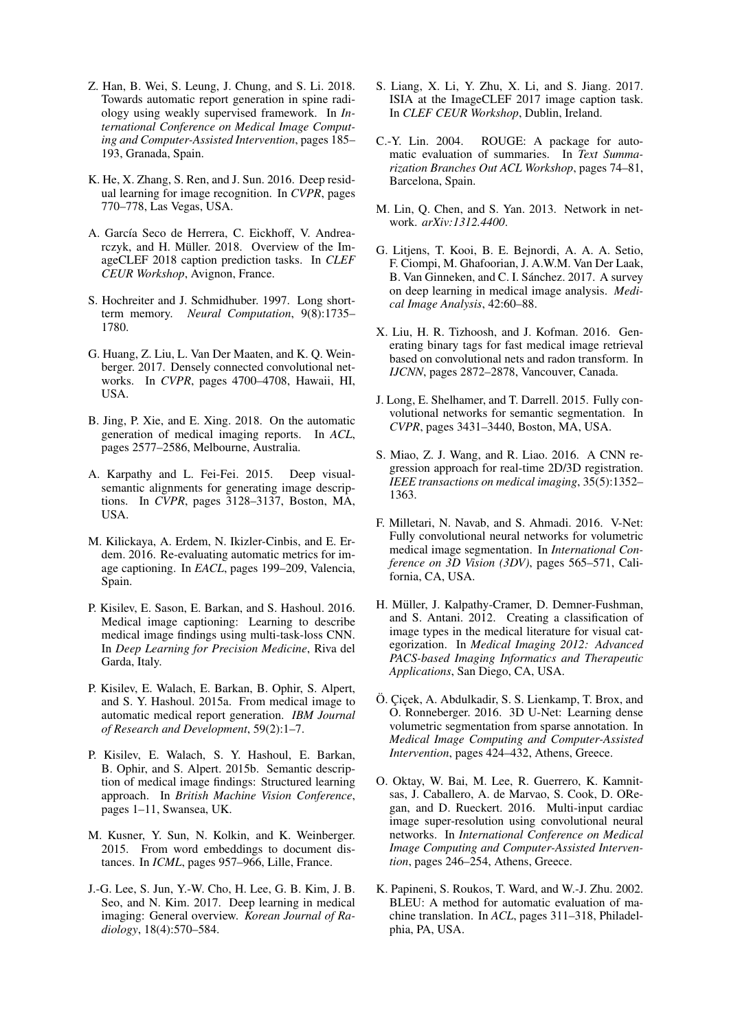- <span id="page-9-15"></span>Z. Han, B. Wei, S. Leung, J. Chung, and S. Li. 2018. Towards automatic report generation in spine radiology using weakly supervised framework. In *International Conference on Medical Image Computing and Computer-Assisted Intervention*, pages 185– 193, Granada, Spain.
- <span id="page-9-12"></span>K. He, X. Zhang, S. Ren, and J. Sun. 2016. Deep residual learning for image recognition. In *CVPR*, pages 770–778, Las Vegas, USA.
- <span id="page-9-3"></span>A. García Seco de Herrera, C. Eickhoff, V. Andrearczyk, and H. Müller. 2018. Overview of the ImageCLEF 2018 caption prediction tasks. In *CLEF CEUR Workshop*, Avignon, France.
- <span id="page-9-10"></span>S. Hochreiter and J. Schmidhuber. 1997. Long shortterm memory. *Neural Computation*, 9(8):1735– 1780.
- <span id="page-9-14"></span>G. Huang, Z. Liu, L. Van Der Maaten, and K. Q. Weinberger. 2017. Densely connected convolutional networks. In *CVPR*, pages 4700–4708, Hawaii, HI, USA.
- <span id="page-9-0"></span>B. Jing, P. Xie, and E. Xing. 2018. On the automatic generation of medical imaging reports. In *ACL*, pages 2577–2586, Melbourne, Australia.
- <span id="page-9-13"></span>A. Karpathy and L. Fei-Fei. 2015. Deep visualsemantic alignments for generating image descriptions. In *CVPR*, pages 3128–3137, Boston, MA, USA.
- <span id="page-9-2"></span>M. Kilickaya, A. Erdem, N. Ikizler-Cinbis, and E. Erdem. 2016. Re-evaluating automatic metrics for image captioning. In *EACL*, pages 199–209, Valencia, Spain.
- <span id="page-9-8"></span>P. Kisilev, E. Sason, E. Barkan, and S. Hashoul. 2016. Medical image captioning: Learning to describe medical image findings using multi-task-loss CNN. In *Deep Learning for Precision Medicine*, Riva del Garda, Italy.
- <span id="page-9-6"></span>P. Kisilev, E. Walach, E. Barkan, B. Ophir, S. Alpert, and S. Y. Hashoul. 2015a. From medical image to automatic medical report generation. *IBM Journal of Research and Development*, 59(2):1–7.
- <span id="page-9-7"></span>P. Kisilev, E. Walach, S. Y. Hashoul, E. Barkan, B. Ophir, and S. Alpert. 2015b. Semantic description of medical image findings: Structured learning approach. In *British Machine Vision Conference*, pages 1–11, Swansea, UK.
- <span id="page-9-17"></span>M. Kusner, Y. Sun, N. Kolkin, and K. Weinberger. 2015. From word embeddings to document distances. In *ICML*, pages 957–966, Lille, France.
- <span id="page-9-1"></span>J.-G. Lee, S. Jun, Y.-W. Cho, H. Lee, G. B. Kim, J. B. Seo, and N. Kim. 2017. Deep learning in medical imaging: General overview. *Korean Journal of Radiology*, 18(4):570–584.
- <span id="page-9-5"></span>S. Liang, X. Li, Y. Zhu, X. Li, and S. Jiang. 2017. ISIA at the ImageCLEF 2017 image caption task. In *CLEF CEUR Workshop*, Dublin, Ireland.
- <span id="page-9-16"></span>C.-Y. Lin. 2004. ROUGE: A package for automatic evaluation of summaries. In *Text Summarization Branches Out ACL Workshop*, pages 74–81, Barcelona, Spain.
- <span id="page-9-9"></span>M. Lin, Q. Chen, and S. Yan. 2013. Network in network. *arXiv:1312.4400*.
- <span id="page-9-18"></span>G. Litjens, T. Kooi, B. E. Bejnordi, A. A. A. Setio, F. Ciompi, M. Ghafoorian, J. A.W.M. Van Der Laak, B. Van Ginneken, and C. I. Sánchez. 2017. A survey on deep learning in medical image analysis. *Medical Image Analysis*, 42:60–88.
- <span id="page-9-22"></span>X. Liu, H. R. Tizhoosh, and J. Kofman. 2016. Generating binary tags for fast medical image retrieval based on convolutional nets and radon transform. In *IJCNN*, pages 2872–2878, Vancouver, Canada.
- <span id="page-9-19"></span>J. Long, E. Shelhamer, and T. Darrell. 2015. Fully convolutional networks for semantic segmentation. In *CVPR*, pages 3431–3440, Boston, MA, USA.
- <span id="page-9-23"></span>S. Miao, Z. J. Wang, and R. Liao. 2016. A CNN regression approach for real-time 2D/3D registration. *IEEE transactions on medical imaging*, 35(5):1352– 1363.
- <span id="page-9-21"></span>F. Milletari, N. Navab, and S. Ahmadi. 2016. V-Net: Fully convolutional neural networks for volumetric medical image segmentation. In *International Conference on 3D Vision (3DV)*, pages 565–571, California, CA, USA.
- <span id="page-9-4"></span>H. Müller, J. Kalpathy-Cramer, D. Demner-Fushman, and S. Antani. 2012. Creating a classification of image types in the medical literature for visual categorization. In *Medical Imaging 2012: Advanced PACS-based Imaging Informatics and Therapeutic Applications*, San Diego, CA, USA.
- <span id="page-9-20"></span>O. Çiçek, A. Abdulkadir, S. S. Lienkamp, T. Brox, and O. Ronneberger. 2016. 3D U-Net: Learning dense volumetric segmentation from sparse annotation. In *Medical Image Computing and Computer-Assisted Intervention*, pages 424–432, Athens, Greece.
- <span id="page-9-24"></span>O. Oktay, W. Bai, M. Lee, R. Guerrero, K. Kamnitsas, J. Caballero, A. de Marvao, S. Cook, D. ORegan, and D. Rueckert. 2016. Multi-input cardiac image super-resolution using convolutional neural networks. In *International Conference on Medical Image Computing and Computer-Assisted Intervention*, pages 246–254, Athens, Greece.
- <span id="page-9-11"></span>K. Papineni, S. Roukos, T. Ward, and W.-J. Zhu. 2002. BLEU: A method for automatic evaluation of machine translation. In *ACL*, pages 311–318, Philadelphia, PA, USA.